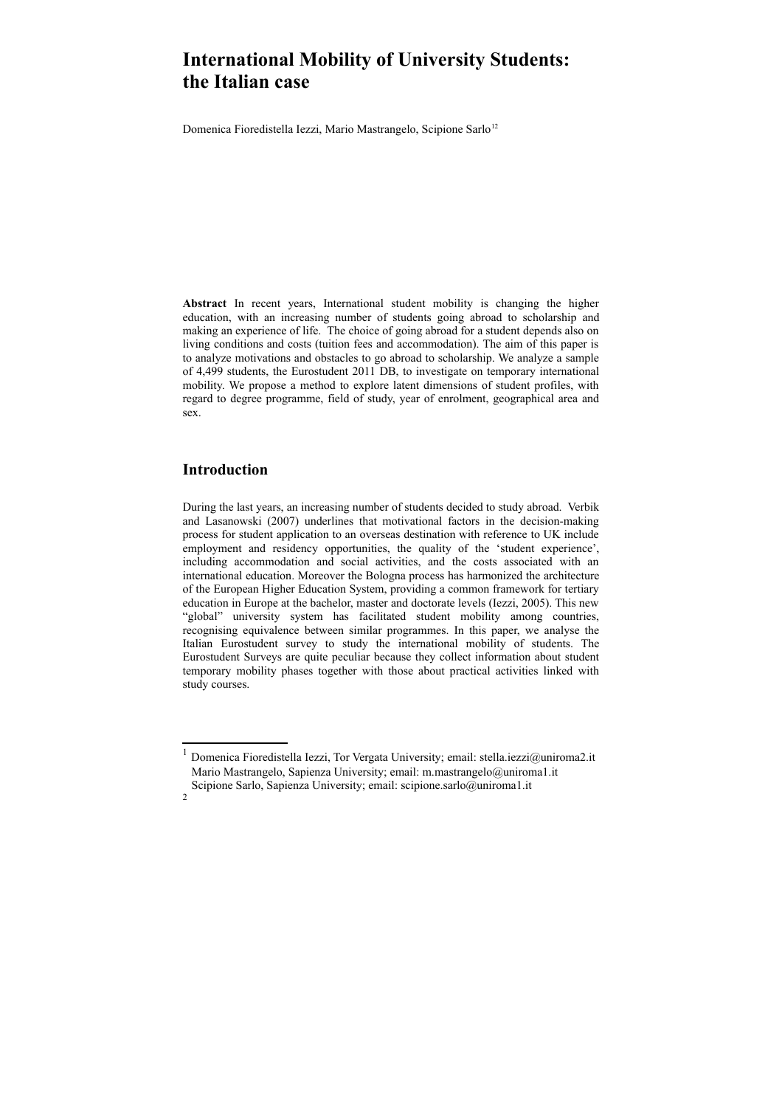# **International Mobility of University Students: the Italian case**

Domenica Fioredistella Iezzi, Mario Mastrangelo, Scipione Sarlo<sup>[1](#page-0-0)[2](#page-0-1)</sup>

**Abstract** In recent years, International student mobility is changing the higher education, with an increasing number of students going abroad to scholarship and making an experience of life. The choice of going abroad for a student depends also on living conditions and costs (tuition fees and accommodation). The aim of this paper is to analyze motivations and obstacles to go abroad to scholarship. We analyze a sample of 4,499 students, the Eurostudent 2011 DB, to investigate on temporary international mobility. We propose a method to explore latent dimensions of student profiles, with regard to degree programme, field of study, year of enrolment, geographical area and sex.

## **Introduction**

During the last years, an increasing number of students decided to study abroad. Verbik and Lasanowski (2007) underlines that motivational factors in the decision-making process for student application to an overseas destination with reference to UK include employment and residency opportunities, the quality of the 'student experience', including accommodation and social activities, and the costs associated with an international education. Moreover the Bologna process has harmonized the architecture of the European Higher Education System, providing a common framework for tertiary education in Europe at the bachelor, master and doctorate levels (Iezzi, 2005). This new "global" university system has facilitated student mobility among countries, recognising equivalence between similar programmes. In this paper, we analyse the Italian Eurostudent survey to study the international mobility of students. The Eurostudent Surveys are quite peculiar because they collect information about student temporary mobility phases together with those about practical activities linked with study courses.

<span id="page-0-1"></span>2

<span id="page-0-0"></span><sup>1</sup> Domenica Fioredistella Iezzi, Tor Vergata University; email: stella.iezzi@uniroma2.it Mario Mastrangelo, Sapienza University; email: m.mastrangelo@uniroma1.it Scipione Sarlo, Sapienza University; email: scipione.sarlo@uniroma1.it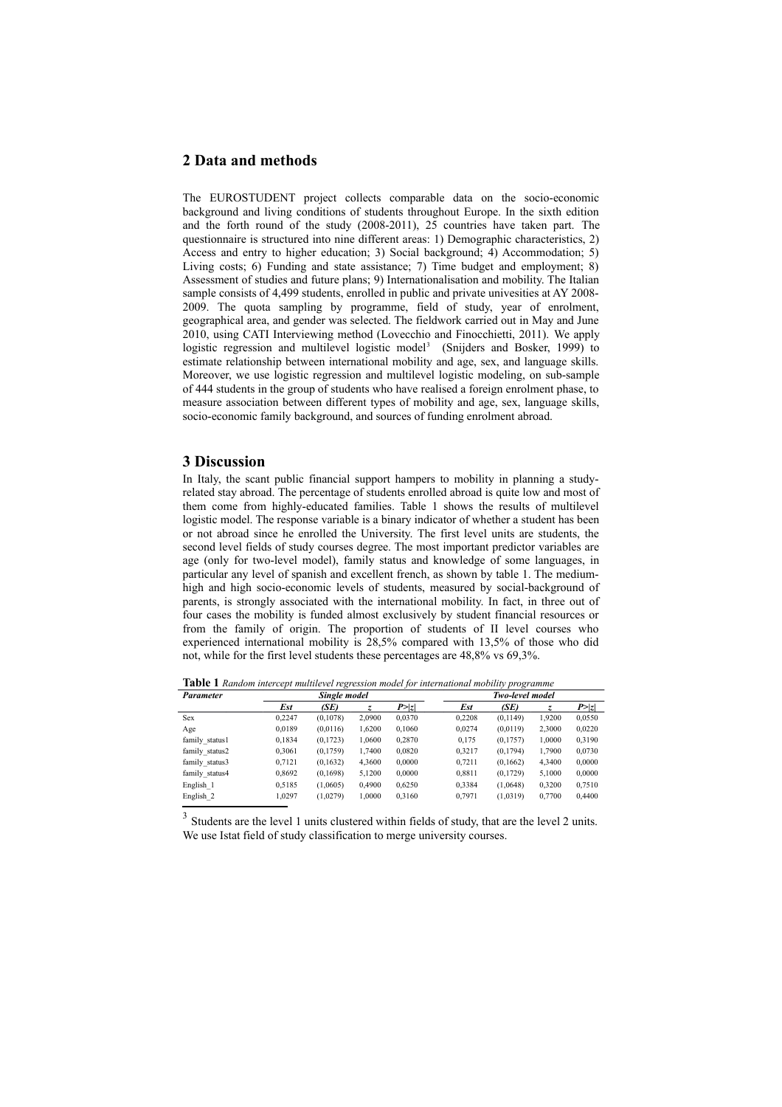### **2 Data and methods**

The EUROSTUDENT project collects comparable data on the socio-economic background and living conditions of students throughout Europe. In the sixth edition and the forth round of the study  $(2008-2011)$ ,  $25$  countries have taken part. The questionnaire is structured into nine different areas: 1) Demographic characteristics, 2) Access and entry to higher education; 3) Social background; 4) Accommodation; 5) Living costs; 6) Funding and state assistance; 7) Time budget and employment; 8) Assessment of studies and future plans; 9) Internationalisation and mobility. The Italian sample consists of 4,499 students, enrolled in public and private univesities at AY 2008- 2009. The quota sampling by programme, field of study, year of enrolment, geographical area, and gender was selected. The fieldwork carried out in May and June 2010, using CATI Interviewing method (Lovecchio and Finocchietti, 2011). We apply logistic regression and multilevel logistic model<sup>[3](#page-1-0)</sup> (Snijders and Bosker, 1999) to estimate relationship between international mobility and age, sex, and language skills. Moreover, we use logistic regression and multilevel logistic modeling, on sub-sample of 444 students in the group of students who have realised a foreign enrolment phase, to measure association between different types of mobility and age, sex, language skills, socio-economic family background, and sources of funding enrolment abroad.

#### **3 Discussion**

In Italy, the scant public financial support hampers to mobility in planning a studyrelated stay abroad. The percentage of students enrolled abroad is quite low and most of them come from highly-educated families. Table 1 shows the results of multilevel logistic model. The response variable is a binary indicator of whether a student has been or not abroad since he enrolled the University. The first level units are students, the second level fields of study courses degree. The most important predictor variables are age (only for two-level model), family status and knowledge of some languages, in particular any level of spanish and excellent french, as shown by table 1. The mediumhigh and high socio-economic levels of students, measured by social-background of parents, is strongly associated with the international mobility. In fact, in three out of four cases the mobility is funded almost exclusively by student financial resources or from the family of origin. The proportion of students of II level courses who experienced international mobility is 28,5% compared with 13,5% of those who did not, while for the first level students these percentages are 48,8% vs 69,3%.

**Table 1** *Random intercept multilevel regression model for international mobility programme*

|                |              | $\sim$    |        |        |                 | . .<br>. |        |        |
|----------------|--------------|-----------|--------|--------|-----------------|----------|--------|--------|
| Parameter      | Single model |           |        |        | Two-level model |          |        |        |
|                | Est          | (SE)      |        | P >  z | Est             | (SE)     |        | P >  z |
| <b>Sex</b>     | 0.2247       | (0, 1078) | 2,0900 | 0,0370 | 0.2208          | (0,1149) | 1,9200 | 0,0550 |
| Age            | 0.0189       | (0,0116)  | 1,6200 | 0,1060 | 0.0274          | (0,0119) | 2,3000 | 0,0220 |
| family status1 | 0,1834       | (0, 1723) | 1,0600 | 0,2870 | 0,175           | (0,1757) | 1,0000 | 0,3190 |
| family status2 | 0.3061       | (0, 1759) | 1,7400 | 0.0820 | 0.3217          | (0,1794) | 1,7900 | 0,0730 |
| family status3 | 0,7121       | (0, 1632) | 4,3600 | 0.0000 | 0,7211          | (0,1662) | 4,3400 | 0,0000 |
| family status4 | 0.8692       | (0, 1698) | 5,1200 | 0.0000 | 0.8811          | (0,1729) | 5.1000 | 0,0000 |
| English 1      | 0.5185       | (1,0605)  | 0.4900 | 0.6250 | 0.3384          | (1,0648) | 0,3200 | 0,7510 |
| English 2      | 1.0297       | (1.0279)  | 1.0000 | 0.3160 | 0.7971          | (1,0319) | 0.7700 | 0.4400 |

<span id="page-1-0"></span><sup>3</sup> Students are the level 1 units clustered within fields of study, that are the level 2 units. We use Istat field of study classification to merge university courses.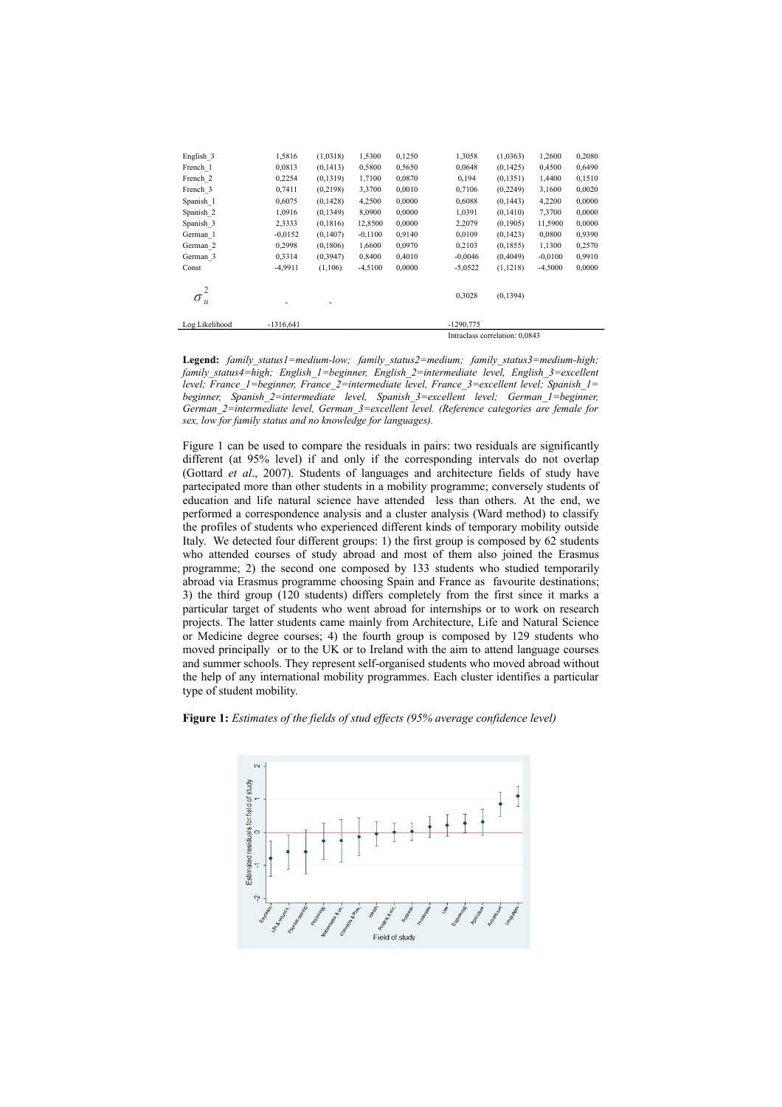| English 3      | 1,5816      | (1,0318)  | 1,5300    | 0,1250 | 1,3058                         | (1,0363)  | 1,2600    | 0,2080 |  |  |  |
|----------------|-------------|-----------|-----------|--------|--------------------------------|-----------|-----------|--------|--|--|--|
| French 1       | 0,0813      | (0, 1413) | 0,5800    | 0,5650 | 0,0648                         | (0,1425)  | 0,4500    | 0,6490 |  |  |  |
| French 2       | 0,2254      | (0, 1319) | 1,7100    | 0,0870 | 0,194                          | (0, 1351) | 1,4400    | 0,1510 |  |  |  |
| French 3       | 0,7411      | (0, 2198) | 3,3700    | 0,0010 | 0,7106                         | (0, 2249) | 3,1600    | 0,0020 |  |  |  |
| Spanish 1      | 0,6075      | (0, 1428) | 4,2500    | 0,0000 | 0,6088                         | (0,1443)  | 4,2200    | 0,0000 |  |  |  |
| Spanish 2      | 1,0916      | (0, 1349) | 8,0900    | 0,0000 | 1,0391                         | (0,1410)  | 7,3700    | 0,0000 |  |  |  |
| Spanish 3      | 2,3333      | (0, 1816) | 12,8500   | 0,0000 | 2,2079                         | (0, 1905) | 11,5900   | 0,0000 |  |  |  |
| German 1       | $-0.0152$   | (0, 1407) | $-0,1100$ | 0,9140 | 0,0109                         | (0, 1423) | 0,0800    | 0,9390 |  |  |  |
| German 2       | 0,2998      | (0, 1806) | 1,6600    | 0,0970 | 0,2103                         | (0,1855)  | 1,1300    | 0,2570 |  |  |  |
| German 3       | 0,3314      | (0, 3947) | 0,8400    | 0,4010 | $-0,0046$                      | (0,4049)  | $-0,0100$ | 0,9910 |  |  |  |
| Const          | $-4,9911$   | (1,106)   | $-4,5100$ | 0,0000 | $-5,0522$                      | (1, 1218) | $-4,5000$ | 0,0000 |  |  |  |
| $\sigma_u^-$   |             |           |           |        | 0,3028                         | (0, 1394) |           |        |  |  |  |
| Log Likelihood | $-1316,641$ |           |           |        | $-1290,775$                    |           |           |        |  |  |  |
|                |             |           |           |        | Intraclass correlation: 0,0843 |           |           |        |  |  |  |

**Legend:** *family\_status1=medium-low; family\_status2=medium; family\_status3=medium-high; family\_status4=high; English\_1=beginner, English\_2=intermediate level, English\_3=excellent level; France\_1=beginner, France\_2=intermediate level, France\_3=excellent level; Spanish\_1= beginner, Spanish\_2=intermediate level, Spanish\_3=excellent level; German\_1=beginner, German\_2=intermediate level, German\_3=excellent level. (Reference categories are female for sex, low for family status and no knowledge for languages).*

Figure 1 can be used to compare the residuals in pairs: two residuals are significantly different (at 95% level) if and only if the corresponding intervals do not overlap (Gottard *et al*., 2007). Students of languages and architecture fields of study have partecipated more than other students in a mobility programme; conversely students of education and life natural science have attended less than others. At the end, we performed a correspondence analysis and a cluster analysis (Ward method) to classify the profiles of students who experienced different kinds of temporary mobility outside Italy. We detected four different groups: 1) the first group is composed by 62 students who attended courses of study abroad and most of them also joined the Erasmus programme; 2) the second one composed by 133 students who studied temporarily abroad via Erasmus programme choosing Spain and France as favourite destinations; 3) the third group (120 students) differs completely from the first since it marks a particular target of students who went abroad for internships or to work on research projects. The latter students came mainly from Architecture, Life and Natural Science or Medicine degree courses; 4) the fourth group is composed by 129 students who moved principally or to the UK or to Ireland with the aim to attend language courses and summer schools. They represent self-organised students who moved abroad without the help of any international mobility programmes. Each cluster identifies a particular type of student mobility.